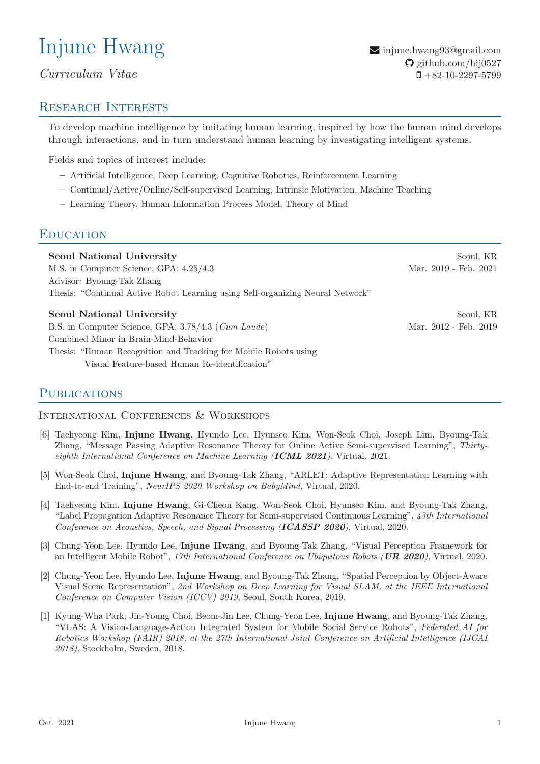# Injune Hwang

# Curriculum Vitae

# Research Interests

 $\blacktriangleright$  [injune.hwang93@gmail.com](mailto:injune.hwang93@gmail.com)  $\Omega$  [github.com/hij0527](https://github.com/hij0527/)  $\Box + 82 - 10 - 2297 - 5799$ 

To develop machine intelligence by imitating human learning, inspired by how the human mind develops through interactions, and in turn understand human learning by investigating intelligent systems.

Fields and topics of interest include:

- Artificial Intelligence, Deep Learning, Cognitive Robotics, Reinforcement Learning
- Continual/Active/Online/Self-supervised Learning, Intrinsic Motivation, Machine Teaching
- Learning Theory, Human Information Process Model, Theory of Mind

## **EDUCATION**

| <b>Seoul National University</b>                                               | Seoul, KR             |
|--------------------------------------------------------------------------------|-----------------------|
| M.S. in Computer Science, GPA: $4.25/4.3$                                      | Mar. 2019 - Feb. 2021 |
| Advisor: Byoung-Tak Zhang                                                      |                       |
| Thesis: "Continual Active Robot Learning using Self-organizing Neural Network" |                       |
| <b>Seoul National University</b>                                               | Seoul, KR             |
|                                                                                |                       |
| B.S. in Computer Science, GPA: 3.78/4.3 (Cum Laude)                            | Mar. 2012 - Feb. 2019 |
| Combined Minor in Brain-Mind-Behavior                                          |                       |

Thesis: "Human Recognition and Tracking for Mobile Robots using Visual Feature-based Human Re-identification"

# **PUBLICATIONS**

International Conferences & Workshops

- [6] Taehyeong Kim, Injune Hwang, Hyundo Lee, Hyunseo Kim, Won-Seok Choi, Joseph Lim, Byoung-Tak Zhang, "Message Passing Adaptive Resonance Theory for Online Active Semi-supervised Learning", Thirtyeighth International Conference on Machine Learning (ICML 2021), Virtual, 2021.
- [5] Won-Seok Choi, Injune Hwang, and Byoung-Tak Zhang, "ARLET: Adaptive Representation Learning with End-to-end Training", NeurIPS 2020 Workshop on BabyMind, Virtual, 2020.
- [4] Taehyeong Kim, Injune Hwang, Gi-Cheon Kang, Won-Seok Choi, Hyunseo Kim, and Byoung-Tak Zhang, "Label Propagation Adaptive Resonance Theory for Semi-supervised Continuous Learning", 45th International Conference on Acoustics, Speech, and Signal Processing (ICASSP 2020), Virtual, 2020.
- [3] Chung-Yeon Lee, Hyundo Lee, Injune Hwang, and Byoung-Tak Zhang, "Visual Perception Framework for an Intelligent Mobile Robot", 17th International Conference on Ubiquitous Robots (UR 2020), Virtual, 2020.
- [2] Chung-Yeon Lee, Hyundo Lee, Injune Hwang, and Byoung-Tak Zhang, "Spatial Perception by Object-Aware Visual Scene Representation", 2nd Workshop on Deep Learning for Visual SLAM, at the IEEE International Conference on Computer Vision (ICCV) 2019, Seoul, South Korea, 2019.
- [1] Kyung-Wha Park, Jin-Young Choi, Beom-Jin Lee, Chung-Yeon Lee, Injune Hwang, and Byoung-Tak Zhang, "VLAS: A Vision-Language-Action Integrated System for Mobile Social Service Robots", Federated AI for Robotics Workshop (FAIR) 2018, at the 27th International Joint Conference on Artificial Intelligence (IJCAI 2018), Stockholm, Sweden, 2018.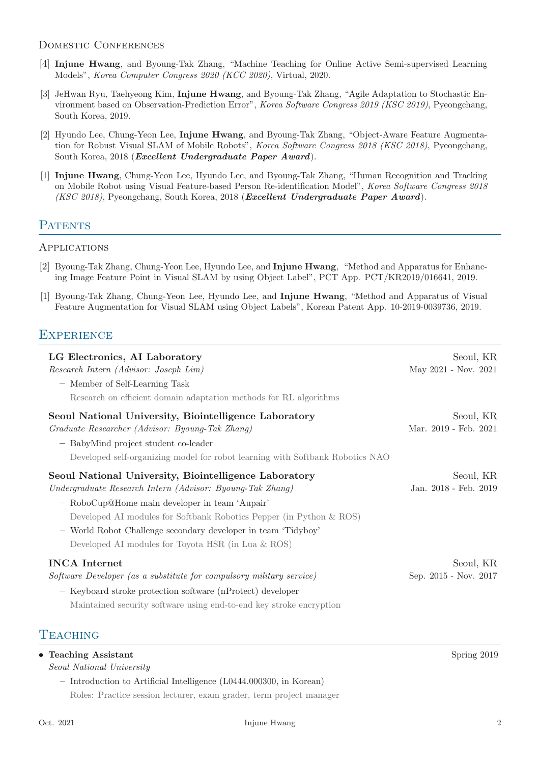#### DOMESTIC CONFERENCES

- [4] Injune Hwang, and Byoung-Tak Zhang, "Machine Teaching for Online Active Semi-supervised Learning Models", Korea Computer Congress 2020 (KCC 2020), Virtual, 2020.
- [3] JeHwan Ryu, Taehyeong Kim, Injune Hwang, and Byoung-Tak Zhang, "Agile Adaptation to Stochastic Environment based on Observation-Prediction Error", Korea Software Congress 2019 (KSC 2019), Pyeongchang, South Korea, 2019.
- [2] Hyundo Lee, Chung-Yeon Lee, Injune Hwang, and Byoung-Tak Zhang, "Object-Aware Feature Augmentation for Robust Visual SLAM of Mobile Robots", Korea Software Congress 2018 (KSC 2018), Pyeongchang, South Korea, 2018 (Excellent Undergraduate Paper Award).
- [1] Injune Hwang, Chung-Yeon Lee, Hyundo Lee, and Byoung-Tak Zhang, "Human Recognition and Tracking on Mobile Robot using Visual Feature-based Person Re-identification Model", Korea Software Congress 2018 (KSC 2018), Pyeongchang, South Korea, 2018 (Excellent Undergraduate Paper Award).

## **PATENTS**

#### **APPLICATIONS**

- [2] Byoung-Tak Zhang, Chung-Yeon Lee, Hyundo Lee, and Injune Hwang, "Method and Apparatus for Enhancing Image Feature Point in Visual SLAM by using Object Label", PCT App. PCT/KR2019/016641, 2019.
- [1] Byoung-Tak Zhang, Chung-Yeon Lee, Hyundo Lee, and Injune Hwang, "Method and Apparatus of Visual Feature Augmentation for Visual SLAM using Object Labels", Korean Patent App. 10-2019-0039736, 2019.

# **EXPERIENCE**

| LG Electronics, AI Laboratory<br>Research Intern (Advisor: Joseph Lim)<br>- Member of Self-Learning Task<br>Research on efficient domain adaptation methods for RL algorithms                                                                                                                                                                                      | Seoul, KR<br>May 2021 - Nov. 2021  |
|--------------------------------------------------------------------------------------------------------------------------------------------------------------------------------------------------------------------------------------------------------------------------------------------------------------------------------------------------------------------|------------------------------------|
| Seoul National University, Biointelligence Laboratory<br>Graduate Researcher (Advisor: Byoung-Tak Zhang)<br>- BabyMind project student co-leader<br>Developed self-organizing model for robot learning with Softbank Robotics NAO                                                                                                                                  | Seoul, KR<br>Mar. 2019 - Feb. 2021 |
| Seoul National University, Biointelligence Laboratory<br>Undergraduate Research Intern (Advisor: Byoung-Tak Zhang)<br>- RoboCup@Home main developer in team 'Aupair'<br>Developed AI modules for Softbank Robotics Pepper (in Python & ROS)<br>- World Robot Challenge secondary developer in team 'Tidyboy'<br>Developed AI modules for Toyota HSR (in Lua & ROS) | Seoul, KR<br>Jan. 2018 - Feb. 2019 |
| <b>INCA</b> Internet<br>Software Developer (as a substitute for compulsory military service)<br>- Keyboard stroke protection software (nProtect) developer<br>Maintained security software using end-to-end key stroke encryption<br>$\Gamma$ e a chinc                                                                                                            | Seoul, KR<br>Sep. 2015 - Nov. 2017 |

### **TEACHING**

| • Teaching Assistant                                                  | Spring 2019 |
|-----------------------------------------------------------------------|-------------|
| <i>Seoul National University</i>                                      |             |
| $-$ Introduction to Artificial Intelligence (L0444.000300, in Korean) |             |
| Roles: Practice session lecturer, exam grader, term project manager   |             |